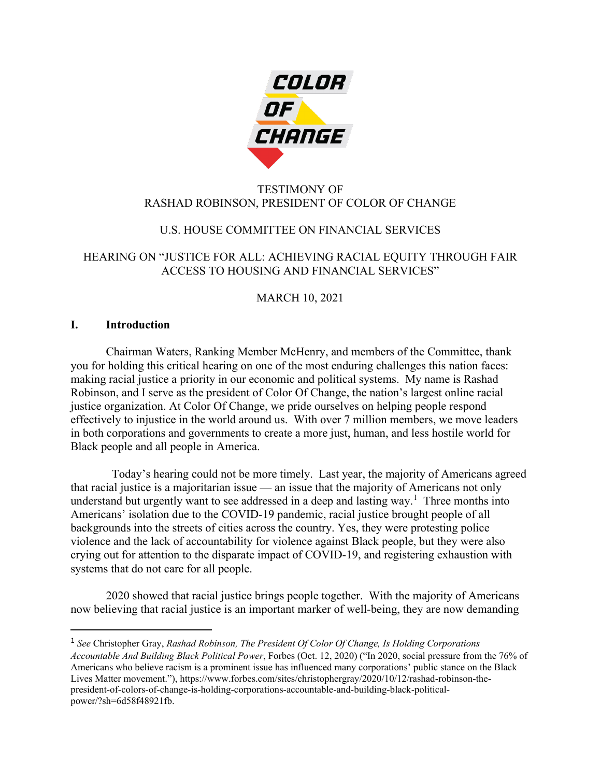

## TESTIMONY OF RASHAD ROBINSON, PRESIDENT OF COLOR OF CHANGE

# U.S. HOUSE COMMITTEE ON FINANCIAL SERVICES

## HEARING ON "JUSTICE FOR ALL: ACHIEVING RACIAL EQUITY THROUGH FAIR ACCESS TO HOUSING AND FINANCIAL SERVICES"

# MARCH 10, 2021

### **I. Introduction**

Chairman Waters, Ranking Member McHenry, and members of the Committee, thank you for holding this critical hearing on one of the most enduring challenges this nation faces: making racial justice a priority in our economic and political systems. My name is Rashad Robinson, and I serve as the president of Color Of Change, the nation's largest online racial justice organization. At Color Of Change, we pride ourselves on helping people respond effectively to injustice in the world around us. With over 7 million members, we move leaders in both corporations and governments to create a more just, human, and less hostile world for Black people and all people in America.

 Today's hearing could not be more timely. Last year, the majority of Americans agreed that racial justice is a majoritarian issue — an issue that the majority of Americans not only understand but urgently want to see addressed in a deep and lasting way.<sup>[1](#page-0-0)</sup> Three months into Americans' isolation due to the COVID-19 pandemic, racial justice brought people of all backgrounds into the streets of cities across the country. Yes, they were protesting police violence and the lack of accountability for violence against Black people, but they were also crying out for attention to the disparate impact of COVID-19, and registering exhaustion with systems that do not care for all people.

2020 showed that racial justice brings people together. With the majority of Americans now believing that racial justice is an important marker of well-being, they are now demanding

<span id="page-0-0"></span><sup>1</sup> *See* Christopher Gray, *Rashad Robinson, The President Of Color Of Change, Is Holding Corporations Accountable And Building Black Political Power*, Forbes (Oct. 12, 2020) ("In 2020, social pressure from the 76% of Americans who believe racism is a prominent issue has influenced many corporations' public stance on the Black Lives Matter movement."), https://www.forbes.com/sites/christophergray/2020/10/12/rashad-robinson-thepresident-of-colors-of-change-is-holding-corporations-accountable-and-building-black-politicalpower/?sh=6d58f48921fb.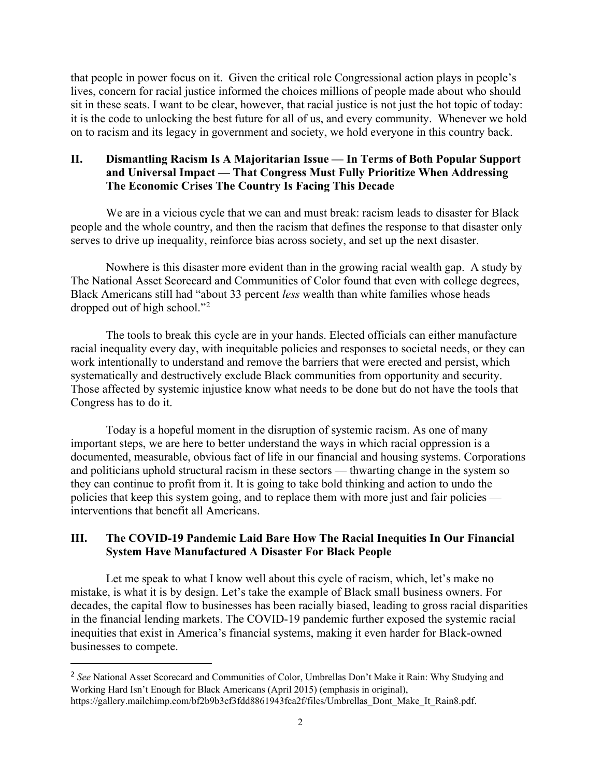that people in power focus on it. Given the critical role Congressional action plays in people's lives, concern for racial justice informed the choices millions of people made about who should sit in these seats. I want to be clear, however, that racial justice is not just the hot topic of today: it is the code to unlocking the best future for all of us, and every community. Whenever we hold on to racism and its legacy in government and society, we hold everyone in this country back.

#### **II. Dismantling Racism Is A Majoritarian Issue — In Terms of Both Popular Support and Universal Impact — That Congress Must Fully Prioritize When Addressing The Economic Crises The Country Is Facing This Decade**

We are in a vicious cycle that we can and must break: racism leads to disaster for Black people and the whole country, and then the racism that defines the response to that disaster only serves to drive up inequality, reinforce bias across society, and set up the next disaster.

Nowhere is this disaster more evident than in the growing racial wealth gap. A study by The National Asset Scorecard and Communities of Color found that even with college degrees, Black Americans still had "about 33 percent *less* wealth than white families whose heads dropped out of high school."<sup>[2](#page-1-0)</sup>

The tools to break this cycle are in your hands. Elected officials can either manufacture racial inequality every day, with inequitable policies and responses to societal needs, or they can work intentionally to understand and remove the barriers that were erected and persist, which systematically and destructively exclude Black communities from opportunity and security. Those affected by systemic injustice know what needs to be done but do not have the tools that Congress has to do it.

Today is a hopeful moment in the disruption of systemic racism. As one of many important steps, we are here to better understand the ways in which racial oppression is a documented, measurable, obvious fact of life in our financial and housing systems. Corporations and politicians uphold structural racism in these sectors — thwarting change in the system so they can continue to profit from it. It is going to take bold thinking and action to undo the policies that keep this system going, and to replace them with more just and fair policies interventions that benefit all Americans.

## **III. The COVID-19 Pandemic Laid Bare How The Racial Inequities In Our Financial System Have Manufactured A Disaster For Black People**

Let me speak to what I know well about this cycle of racism, which, let's make no mistake, is what it is by design. Let's take the example of Black small business owners. For decades, the capital flow to businesses has been racially biased, leading to gross racial disparities in the financial lending markets. The COVID-19 pandemic further exposed the systemic racial inequities that exist in America's financial systems, making it even harder for Black-owned businesses to compete.

<span id="page-1-0"></span><sup>&</sup>lt;sup>2</sup> See National Asset Scorecard and Communities of Color, Umbrellas Don't Make it Rain: Why Studying and Working Hard Isn't Enough for Black Americans (April 2015) (emphasis in original), [https://gallery.mailchimp.com/bf2b9b3cf3fdd8861943fca2f/files/Umbrellas\\_Dont\\_Make\\_It\\_Rain8.pdf.](https://gallery.mailchimp.com/bf2b9b3cf3fdd8861943fca2f/files/Umbrellas_Dont_Make_It_Rain8.pdf)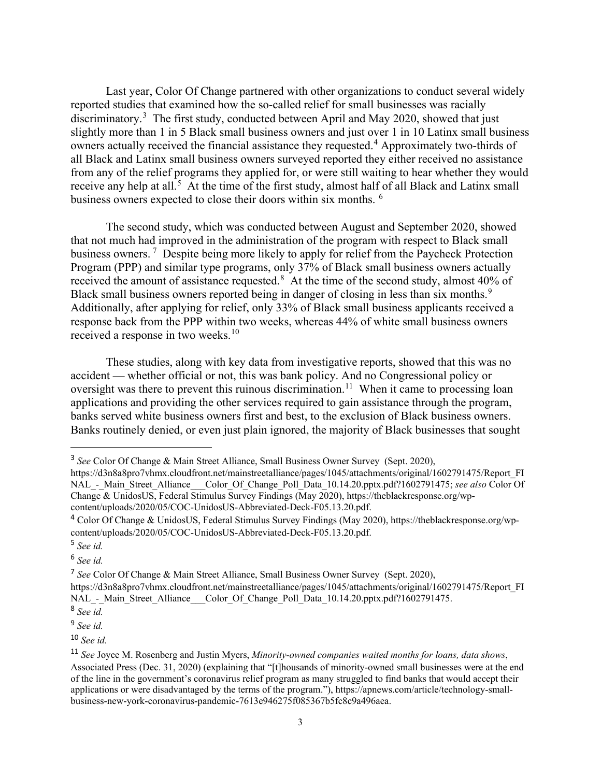Last year, Color Of Change partnered with other organizations to conduct several widely reported studies that examined how the so-called relief for small businesses was racially discriminatory.<sup>[3](#page-2-0)</sup> The first study, conducted between April and May 2020, showed that just slightly more than 1 in 5 Black small business owners and just over 1 in 10 Latinx small business owners actually received the financial assistance they requested.<sup>[4](#page-2-1)</sup> Approximately two-thirds of all Black and Latinx small business owners surveyed reported they either received no assistance from any of the relief programs they applied for, or were still waiting to hear whether they would receive any help at all.<sup>[5](#page-2-2)</sup> At the time of the first study, almost half of all Black and Latinx small business owners expected to close their doors within six months. [6](#page-2-3)

The second study, which was conducted between August and September 2020, showed that not much had improved in the administration of the program with respect to Black small business owners.<sup>[7](#page-2-4)</sup> Despite being more likely to apply for relief from the Paycheck Protection Program (PPP) and similar type programs, only 37% of Black small business owners actually received the amount of assistance requested. $8$  At the time of the second study, almost 40% of Black small business owners reported being in danger of closing in less than six months. $9$ Additionally, after applying for relief, only 33% of Black small business applicants received a response back from the PPP within two weeks, whereas 44% of white small business owners received a response in two weeks.<sup>[10](#page-2-7)</sup>

These studies, along with key data from investigative reports, showed that this was no accident — whether official or not, this was bank policy. And no Congressional policy or oversight was there to prevent this ruinous discrimination.<sup>11</sup> When it came to processing loan applications and providing the other services required to gain assistance through the program, banks served white business owners first and best, to the exclusion of Black business owners. Banks routinely denied, or even just plain ignored, the majority of Black businesses that sought

<span id="page-2-3"></span><sup>6</sup> *See id.*

<span id="page-2-7"></span><sup>10</sup> *See id.*

<span id="page-2-0"></span><sup>3</sup> *See* Color Of Change & Main Street Alliance, Small Business Owner Survey (Sept. 2020),

[https://d3n8a8pro7vhmx.cloudfront.net/mainstreetalliance/pages/1045/attachments/original/1602791475/Report\\_FI](https://d3n8a8pro7vhmx.cloudfront.net/mainstreetalliance/pages/1045/attachments/original/1602791475/Report_FINAL_-_Main_Street_Alliance___Color_Of_Change_Poll_Data_10.14.20.pptx.pdf?1602791475) NAL - Main Street Alliance Color Of Change Poll Data 10.14.20.pptx.pdf?1602791475; *see also* Color Of Change & UnidosUS, Federal Stimulus Survey Findings (May 2020), [https://theblackresponse.org/wp](https://theblackresponse.org/wp-content/uploads/2020/05/COC-UnidosUS-Abbreviated-Deck-F05.13.20.pdf)[content/uploads/2020/05/COC-UnidosUS-Abbreviated-Deck-F05.13.20.pdf.](https://theblackresponse.org/wp-content/uploads/2020/05/COC-UnidosUS-Abbreviated-Deck-F05.13.20.pdf)

<span id="page-2-1"></span><sup>4</sup> Color Of Change & UnidosUS, Federal Stimulus Survey Findings (May 2020), [https://theblackresponse.org/wp](https://theblackresponse.org/wp-content/uploads/2020/05/COC-UnidosUS-Abbreviated-Deck-F05.13.20.pdf)[content/uploads/2020/05/COC-UnidosUS-Abbreviated-Deck-F05.13.20.pdf.](https://theblackresponse.org/wp-content/uploads/2020/05/COC-UnidosUS-Abbreviated-Deck-F05.13.20.pdf)

<span id="page-2-2"></span><sup>5</sup> *See id.*

<span id="page-2-4"></span><sup>7</sup> *See* Color Of Change & Main Street Alliance, Small Business Owner Survey (Sept. 2020),

[https://d3n8a8pro7vhmx.cloudfront.net/mainstreetalliance/pages/1045/attachments/original/1602791475/Report\\_FI](https://d3n8a8pro7vhmx.cloudfront.net/mainstreetalliance/pages/1045/attachments/original/1602791475/Report_FINAL_-_Main_Street_Alliance___Color_Of_Change_Poll_Data_10.14.20.pptx.pdf?1602791475) NAL - Main Street Alliance Color Of Change Poll Data 10.14.20.pptx.pdf?1602791475.

<span id="page-2-5"></span><sup>8</sup> *See id.*

<span id="page-2-6"></span><sup>9</sup> *See id.*

<span id="page-2-8"></span><sup>11</sup> *See* Joyce M. Rosenberg and Justin Myers, *Minority-owned companies waited months for loans, data shows*, Associated Press (Dec. 31, 2020) (explaining that "[t]housands of minority-owned small businesses were at the end of the line in the government's coronavirus relief program as many struggled to find banks that would accept their applications or were disadvantaged by the terms of the program."), [https://apnews.com/article/technology-small](https://apnews.com/article/technology-small-business-new-york-coronavirus-pandemic-7613e946275f085367b5fc8c9a496aea)[business-new-york-coronavirus-pandemic-7613e946275f085367b5fc8c9a496aea.](https://apnews.com/article/technology-small-business-new-york-coronavirus-pandemic-7613e946275f085367b5fc8c9a496aea)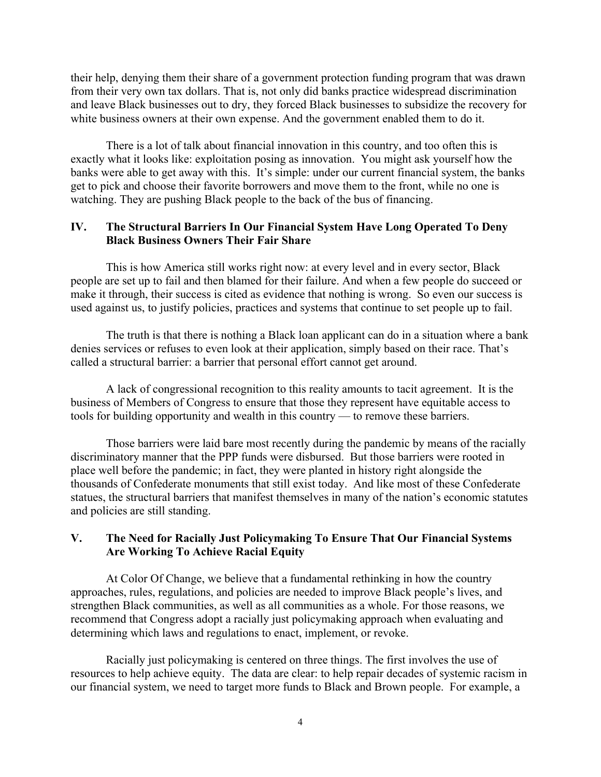their help, denying them their share of a government protection funding program that was drawn from their very own tax dollars. That is, not only did banks practice widespread discrimination and leave Black businesses out to dry, they forced Black businesses to subsidize the recovery for white business owners at their own expense. And the government enabled them to do it.

There is a lot of talk about financial innovation in this country, and too often this is exactly what it looks like: exploitation posing as innovation. You might ask yourself how the banks were able to get away with this. It's simple: under our current financial system, the banks get to pick and choose their favorite borrowers and move them to the front, while no one is watching. They are pushing Black people to the back of the bus of financing.

## **IV. The Structural Barriers In Our Financial System Have Long Operated To Deny Black Business Owners Their Fair Share**

This is how America still works right now: at every level and in every sector, Black people are set up to fail and then blamed for their failure. And when a few people do succeed or make it through, their success is cited as evidence that nothing is wrong. So even our success is used against us, to justify policies, practices and systems that continue to set people up to fail.

The truth is that there is nothing a Black loan applicant can do in a situation where a bank denies services or refuses to even look at their application, simply based on their race. That's called a structural barrier: a barrier that personal effort cannot get around.

A lack of congressional recognition to this reality amounts to tacit agreement. It is the business of Members of Congress to ensure that those they represent have equitable access to tools for building opportunity and wealth in this country — to remove these barriers.

Those barriers were laid bare most recently during the pandemic by means of the racially discriminatory manner that the PPP funds were disbursed. But those barriers were rooted in place well before the pandemic; in fact, they were planted in history right alongside the thousands of Confederate monuments that still exist today. And like most of these Confederate statues, the structural barriers that manifest themselves in many of the nation's economic statutes and policies are still standing.

#### **V. The Need for Racially Just Policymaking To Ensure That Our Financial Systems Are Working To Achieve Racial Equity**

At Color Of Change, we believe that a fundamental rethinking in how the country approaches, rules, regulations, and policies are needed to improve Black people's lives, and strengthen Black communities, as well as all communities as a whole. For those reasons, we recommend that Congress adopt a racially just policymaking approach when evaluating and determining which laws and regulations to enact, implement, or revoke.

Racially just policymaking is centered on three things. The first involves the use of resources to help achieve equity. The data are clear: to help repair decades of systemic racism in our financial system, we need to target more funds to Black and Brown people. For example, a